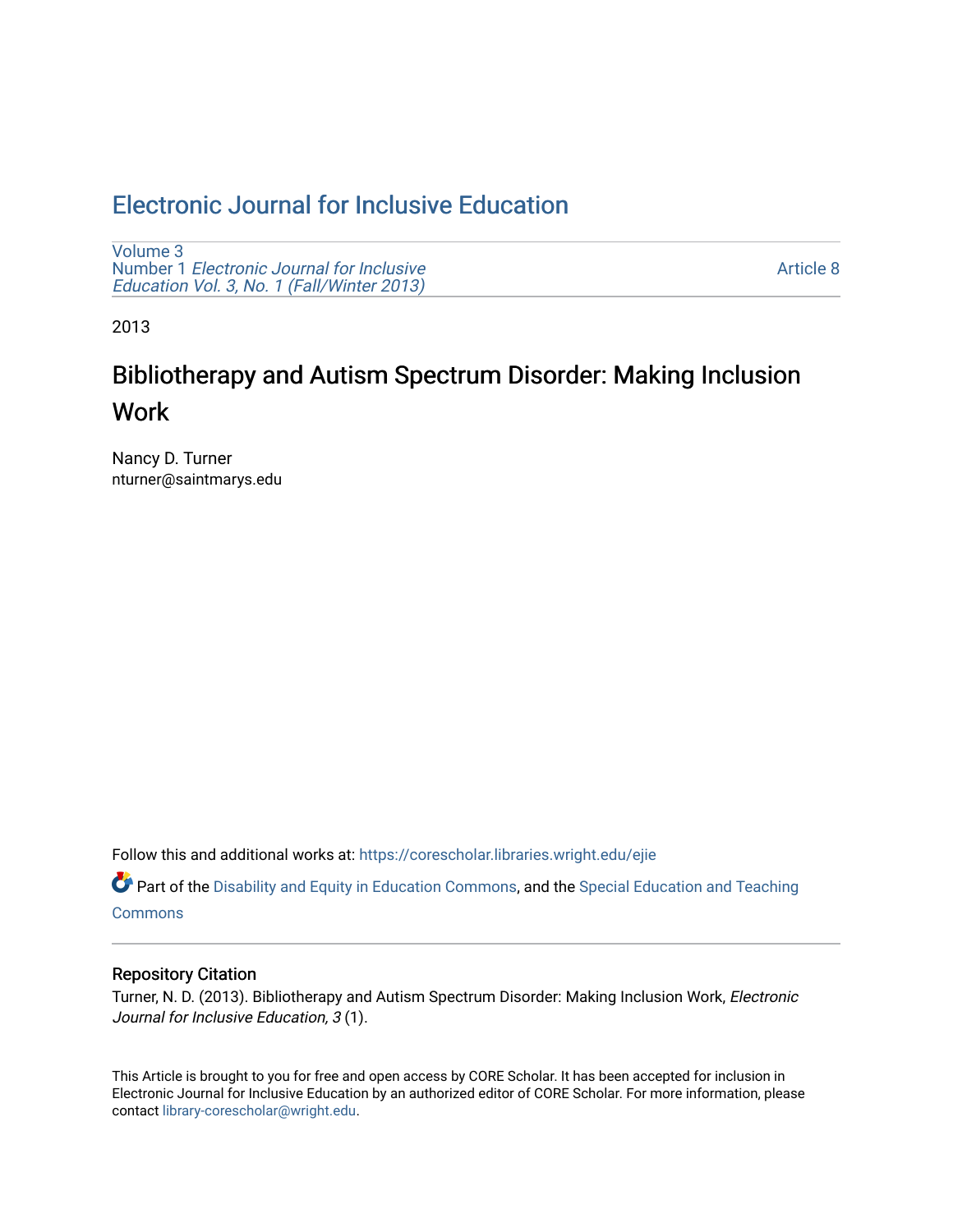# [Electronic Journal for Inclusive Education](https://corescholar.libraries.wright.edu/ejie)

[Volume 3](https://corescholar.libraries.wright.edu/ejie/vol3) Number 1 [Electronic Journal for Inclusive](https://corescholar.libraries.wright.edu/ejie/vol3/iss1) [Education Vol. 3, No. 1 \(Fall/Winter 2013\)](https://corescholar.libraries.wright.edu/ejie/vol3/iss1) 

[Article 8](https://corescholar.libraries.wright.edu/ejie/vol3/iss1/8) 

2013

# Bibliotherapy and Autism Spectrum Disorder: Making Inclusion **Work**

Nancy D. Turner nturner@saintmarys.edu

Follow this and additional works at: [https://corescholar.libraries.wright.edu/ejie](https://corescholar.libraries.wright.edu/ejie?utm_source=corescholar.libraries.wright.edu%2Fejie%2Fvol3%2Fiss1%2F8&utm_medium=PDF&utm_campaign=PDFCoverPages) 

**Part of the [Disability and Equity in Education Commons](http://network.bepress.com/hgg/discipline/1040?utm_source=corescholar.libraries.wright.edu%2Fejie%2Fvol3%2Fiss1%2F8&utm_medium=PDF&utm_campaign=PDFCoverPages), and the Special Education and Teaching [Commons](http://network.bepress.com/hgg/discipline/801?utm_source=corescholar.libraries.wright.edu%2Fejie%2Fvol3%2Fiss1%2F8&utm_medium=PDF&utm_campaign=PDFCoverPages)** 

### Repository Citation

Turner, N. D. (2013). Bibliotherapy and Autism Spectrum Disorder: Making Inclusion Work, Electronic Journal for Inclusive Education, 3 (1).

This Article is brought to you for free and open access by CORE Scholar. It has been accepted for inclusion in Electronic Journal for Inclusive Education by an authorized editor of CORE Scholar. For more information, please contact [library-corescholar@wright.edu.](mailto:library-corescholar@wright.edu)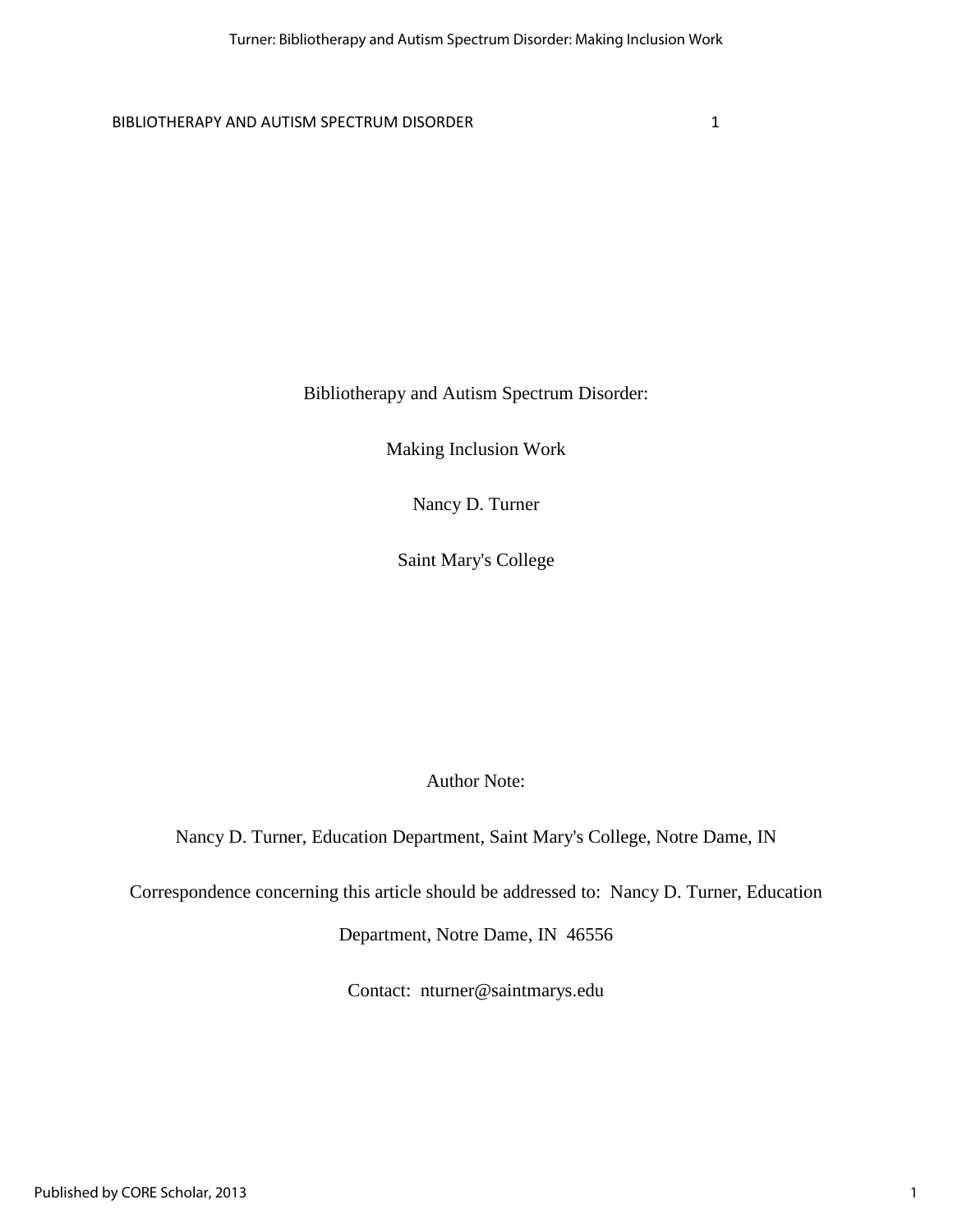Bibliotherapy and Autism Spectrum Disorder:

Making Inclusion Work

Nancy D. Turner

Saint Mary's College

Author Note:

Nancy D. Turner, Education Department, Saint Mary's College, Notre Dame, IN

Correspondence concerning this article should be addressed to: Nancy D. Turner, Education

Department, Notre Dame, IN 46556

Contact: nturner@saintmarys.edu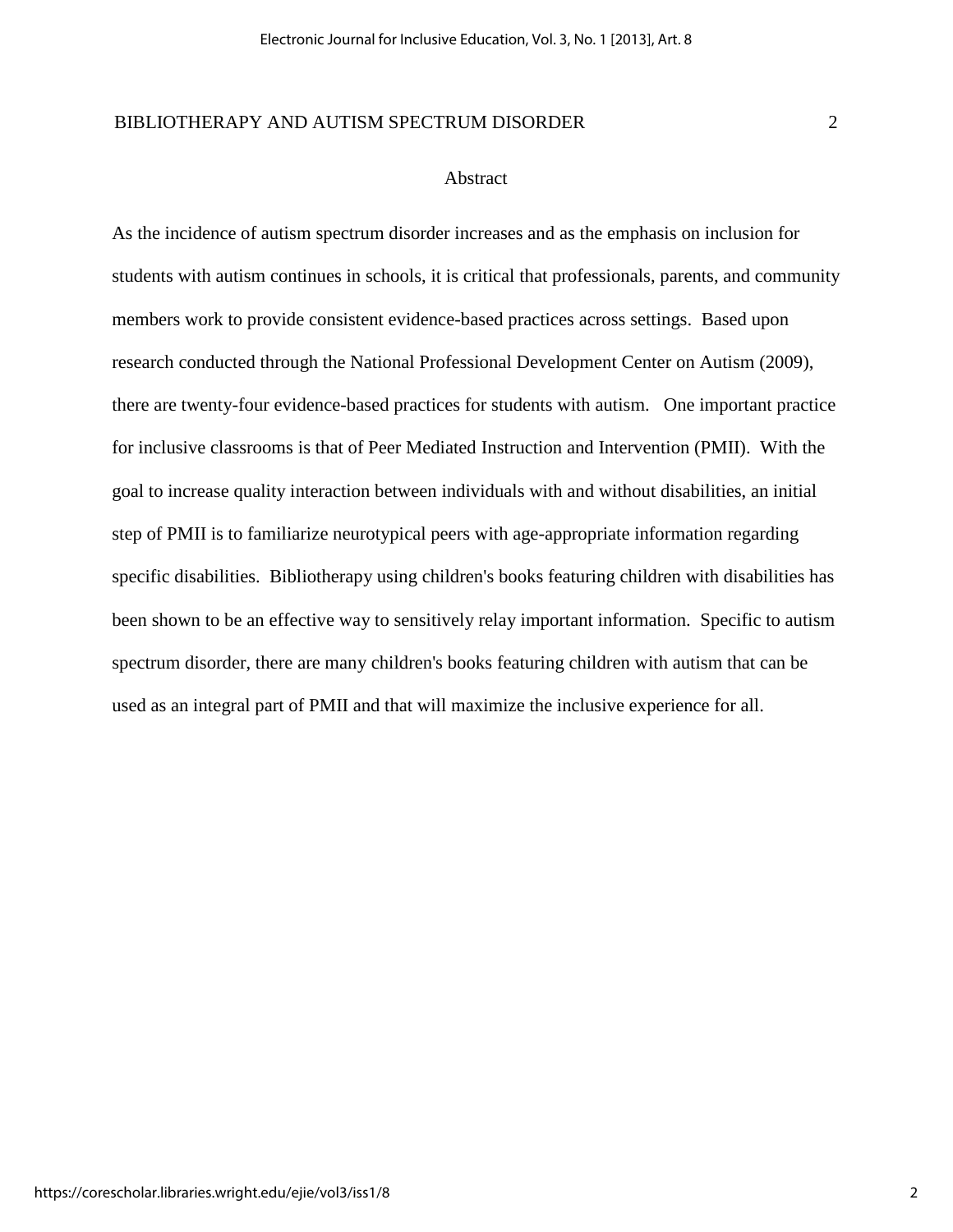#### Abstract

As the incidence of autism spectrum disorder increases and as the emphasis on inclusion for students with autism continues in schools, it is critical that professionals, parents, and community members work to provide consistent evidence-based practices across settings. Based upon research conducted through the National Professional Development Center on Autism (2009), there are twenty-four evidence-based practices for students with autism. One important practice for inclusive classrooms is that of Peer Mediated Instruction and Intervention (PMII). With the goal to increase quality interaction between individuals with and without disabilities, an initial step of PMII is to familiarize neurotypical peers with age-appropriate information regarding specific disabilities. Bibliotherapy using children's books featuring children with disabilities has been shown to be an effective way to sensitively relay important information. Specific to autism spectrum disorder, there are many children's books featuring children with autism that can be used as an integral part of PMII and that will maximize the inclusive experience for all.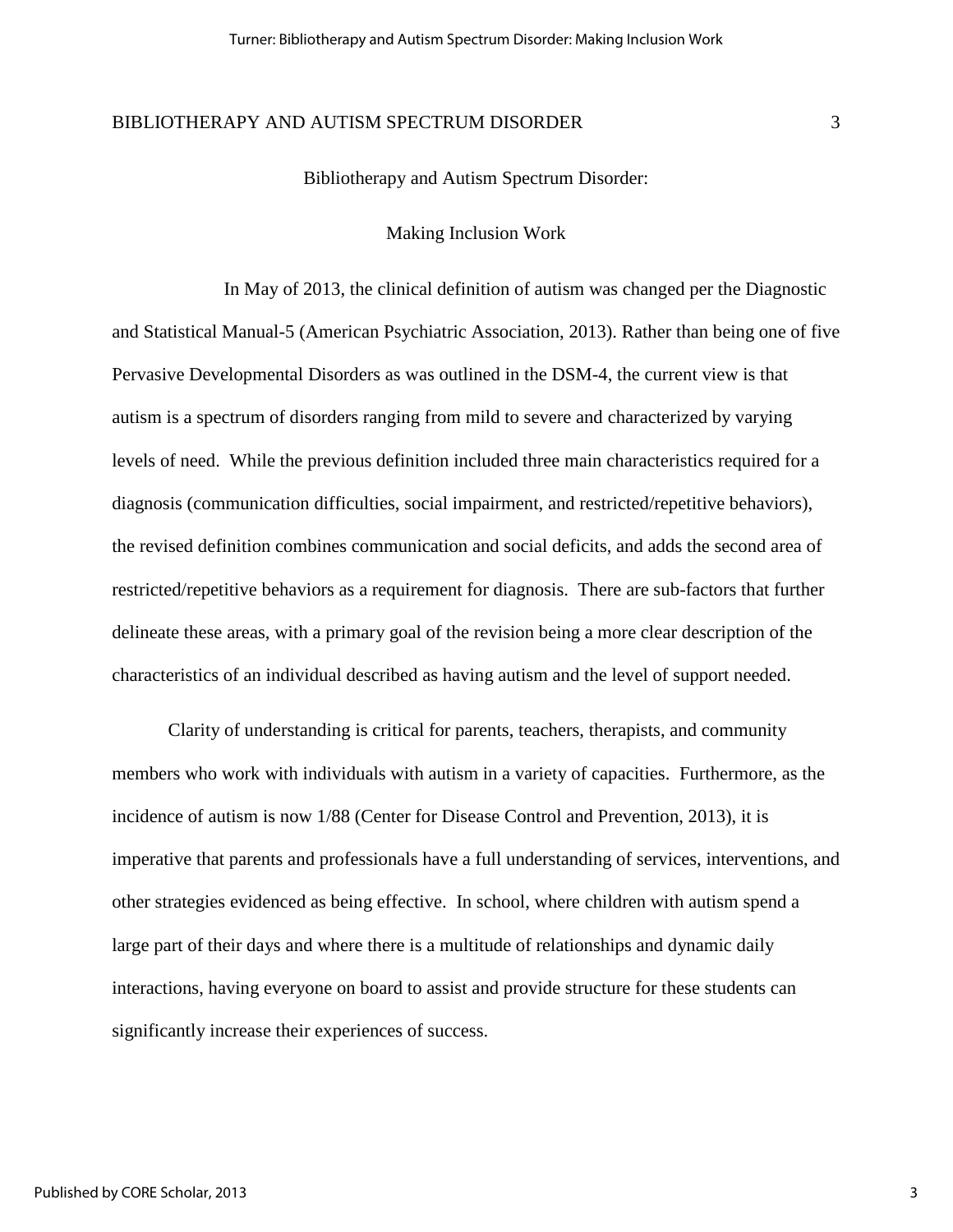Bibliotherapy and Autism Spectrum Disorder:

Making Inclusion Work

 In May of 2013, the clinical definition of autism was changed per the Diagnostic and Statistical Manual-5 (American Psychiatric Association, 2013). Rather than being one of five Pervasive Developmental Disorders as was outlined in the DSM-4, the current view is that autism is a spectrum of disorders ranging from mild to severe and characterized by varying levels of need. While the previous definition included three main characteristics required for a diagnosis (communication difficulties, social impairment, and restricted/repetitive behaviors), the revised definition combines communication and social deficits, and adds the second area of restricted/repetitive behaviors as a requirement for diagnosis. There are sub-factors that further delineate these areas, with a primary goal of the revision being a more clear description of the characteristics of an individual described as having autism and the level of support needed.

 Clarity of understanding is critical for parents, teachers, therapists, and community members who work with individuals with autism in a variety of capacities. Furthermore, as the incidence of autism is now 1/88 (Center for Disease Control and Prevention, 2013), it is imperative that parents and professionals have a full understanding of services, interventions, and other strategies evidenced as being effective. In school, where children with autism spend a large part of their days and where there is a multitude of relationships and dynamic daily interactions, having everyone on board to assist and provide structure for these students can significantly increase their experiences of success.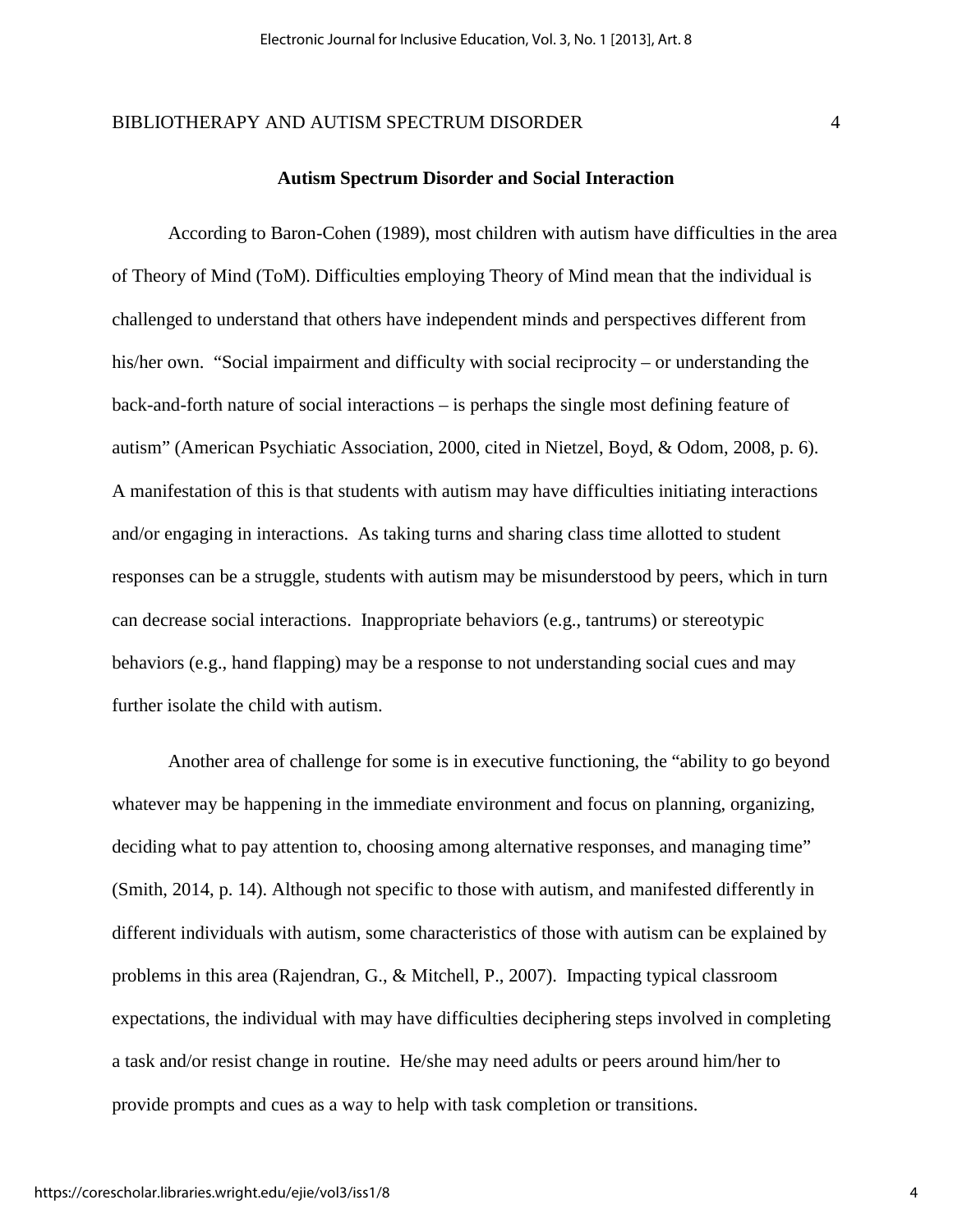According to Baron-Cohen (1989), most children with autism have difficulties in the area of Theory of Mind (ToM). Difficulties employing Theory of Mind mean that the individual is challenged to understand that others have independent minds and perspectives different from his/her own. "Social impairment and difficulty with social reciprocity – or understanding the back-and-forth nature of social interactions – is perhaps the single most defining feature of autism" (American Psychiatic Association, 2000, cited in Nietzel, Boyd, & Odom, 2008, p. 6). A manifestation of this is that students with autism may have difficulties initiating interactions and/or engaging in interactions. As taking turns and sharing class time allotted to student responses can be a struggle, students with autism may be misunderstood by peers, which in turn can decrease social interactions. Inappropriate behaviors (e.g., tantrums) or stereotypic behaviors (e.g., hand flapping) may be a response to not understanding social cues and may further isolate the child with autism.

Another area of challenge for some is in executive functioning, the "ability to go beyond whatever may be happening in the immediate environment and focus on planning, organizing, deciding what to pay attention to, choosing among alternative responses, and managing time" (Smith, 2014, p. 14). Although not specific to those with autism, and manifested differently in different individuals with autism, some characteristics of those with autism can be explained by problems in this area (Rajendran, G., & Mitchell, P., 2007). Impacting typical classroom expectations, the individual with may have difficulties deciphering steps involved in completing a task and/or resist change in routine. He/she may need adults or peers around him/her to provide prompts and cues as a way to help with task completion or transitions.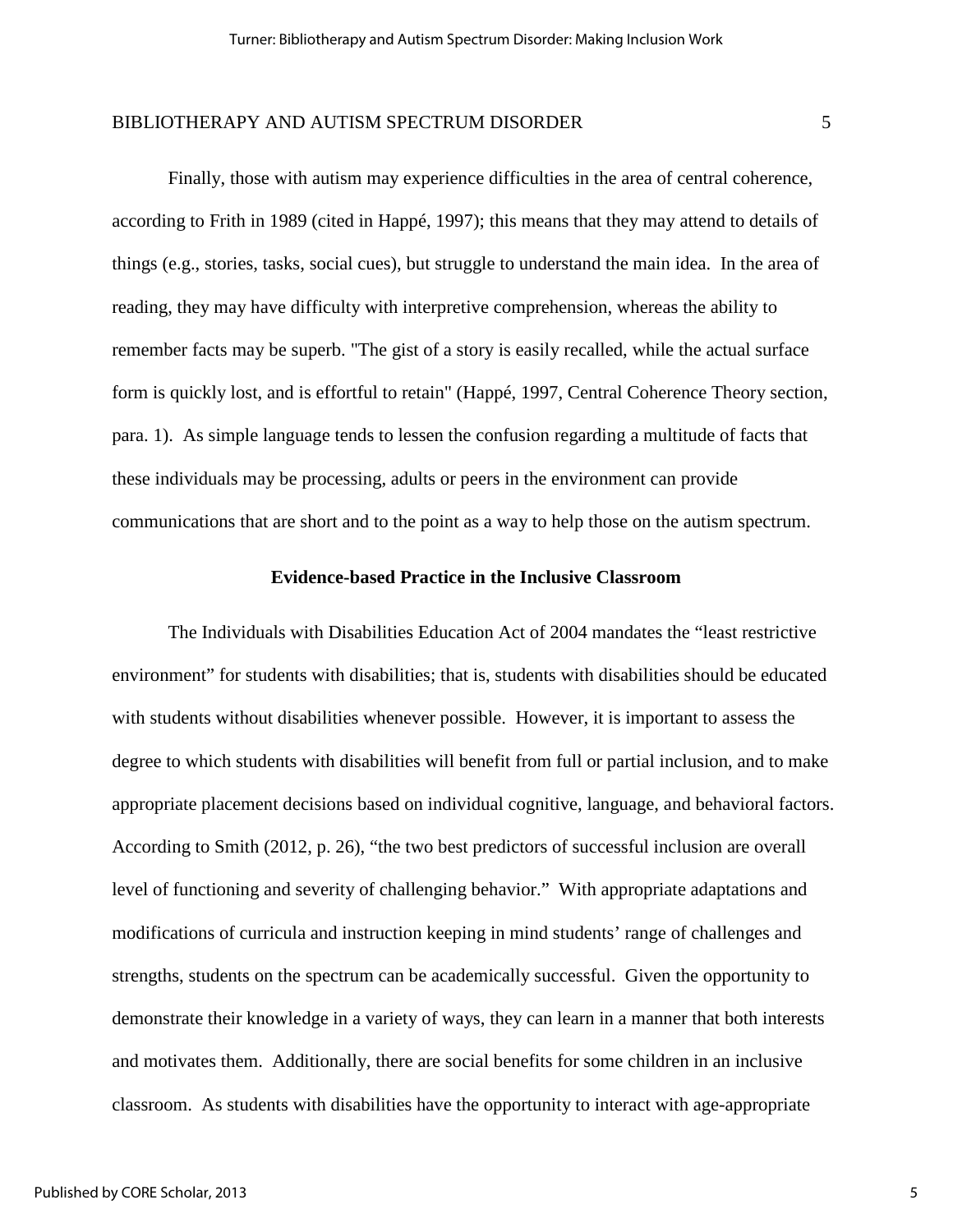Finally, those with autism may experience difficulties in the area of central coherence, according to Frith in 1989 (cited in Happé, 1997); this means that they may attend to details of things (e.g., stories, tasks, social cues), but struggle to understand the main idea. In the area of reading, they may have difficulty with interpretive comprehension, whereas the ability to remember facts may be superb. "The gist of a story is easily recalled, while the actual surface form is quickly lost, and is effortful to retain" (Happé, 1997, Central Coherence Theory section, para. 1). As simple language tends to lessen the confusion regarding a multitude of facts that these individuals may be processing, adults or peers in the environment can provide communications that are short and to the point as a way to help those on the autism spectrum.

### **Evidence-based Practice in the Inclusive Classroom**

The Individuals with Disabilities Education Act of 2004 mandates the "least restrictive environment" for students with disabilities; that is, students with disabilities should be educated with students without disabilities whenever possible. However, it is important to assess the degree to which students with disabilities will benefit from full or partial inclusion, and to make appropriate placement decisions based on individual cognitive, language, and behavioral factors. According to Smith (2012, p. 26), "the two best predictors of successful inclusion are overall level of functioning and severity of challenging behavior." With appropriate adaptations and modifications of curricula and instruction keeping in mind students' range of challenges and strengths, students on the spectrum can be academically successful. Given the opportunity to demonstrate their knowledge in a variety of ways, they can learn in a manner that both interests and motivates them. Additionally, there are social benefits for some children in an inclusive classroom. As students with disabilities have the opportunity to interact with age-appropriate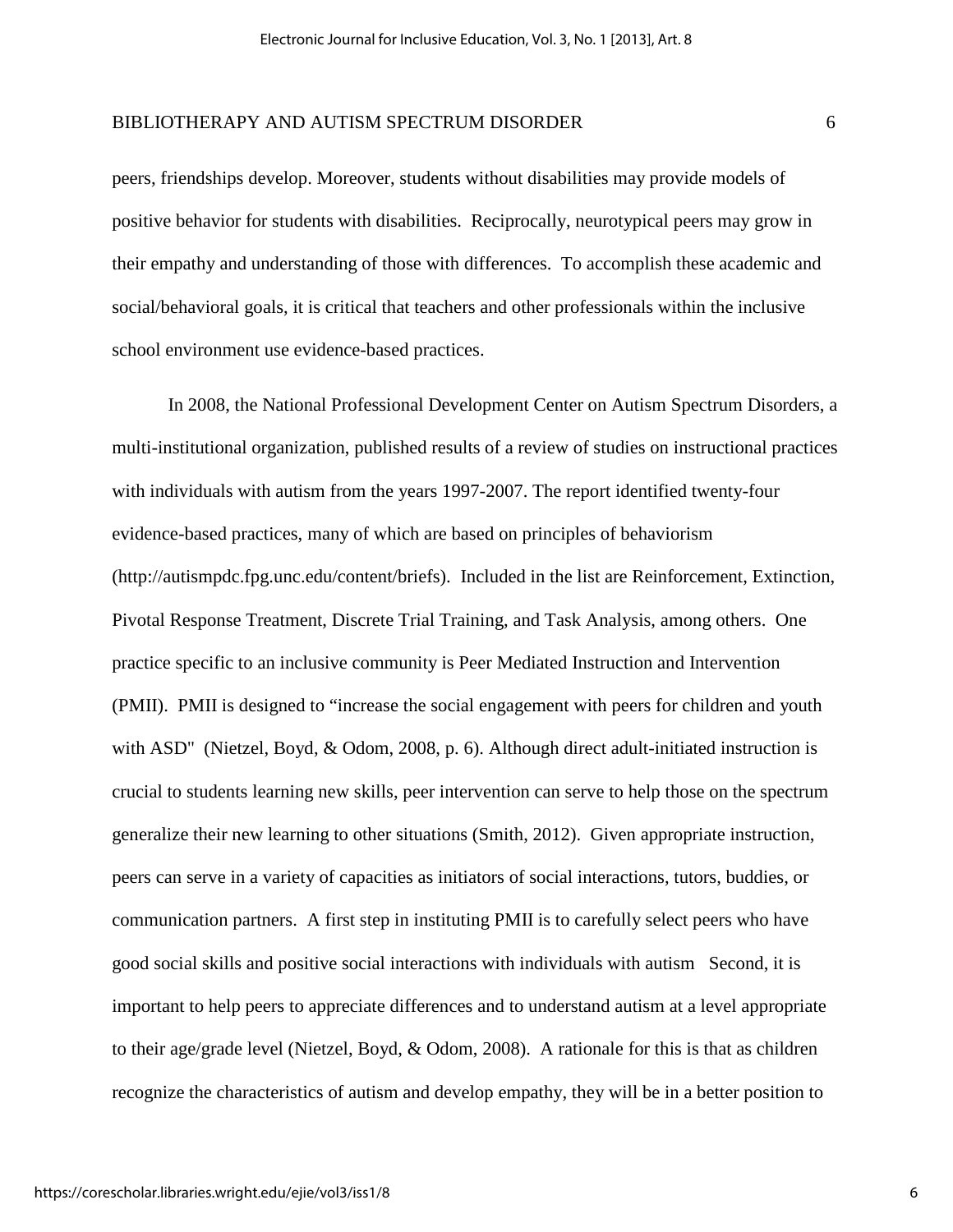peers, friendships develop. Moreover, students without disabilities may provide models of positive behavior for students with disabilities. Reciprocally, neurotypical peers may grow in their empathy and understanding of those with differences. To accomplish these academic and social/behavioral goals, it is critical that teachers and other professionals within the inclusive school environment use evidence-based practices.

 In 2008, the National Professional Development Center on Autism Spectrum Disorders, a multi-institutional organization, published results of a review of studies on instructional practices with individuals with autism from the years 1997-2007. The report identified twenty-four evidence-based practices, many of which are based on principles of behaviorism (http://autismpdc.fpg.unc.edu/content/briefs). Included in the list are Reinforcement, Extinction, Pivotal Response Treatment, Discrete Trial Training, and Task Analysis, among others. One practice specific to an inclusive community is Peer Mediated Instruction and Intervention (PMII). PMII is designed to "increase the social engagement with peers for children and youth with ASD" (Nietzel, Boyd, & Odom, 2008, p. 6). Although direct adult-initiated instruction is crucial to students learning new skills, peer intervention can serve to help those on the spectrum generalize their new learning to other situations (Smith, 2012). Given appropriate instruction, peers can serve in a variety of capacities as initiators of social interactions, tutors, buddies, or communication partners. A first step in instituting PMII is to carefully select peers who have good social skills and positive social interactions with individuals with autism Second, it is important to help peers to appreciate differences and to understand autism at a level appropriate to their age/grade level (Nietzel, Boyd, & Odom, 2008). A rationale for this is that as children recognize the characteristics of autism and develop empathy, they will be in a better position to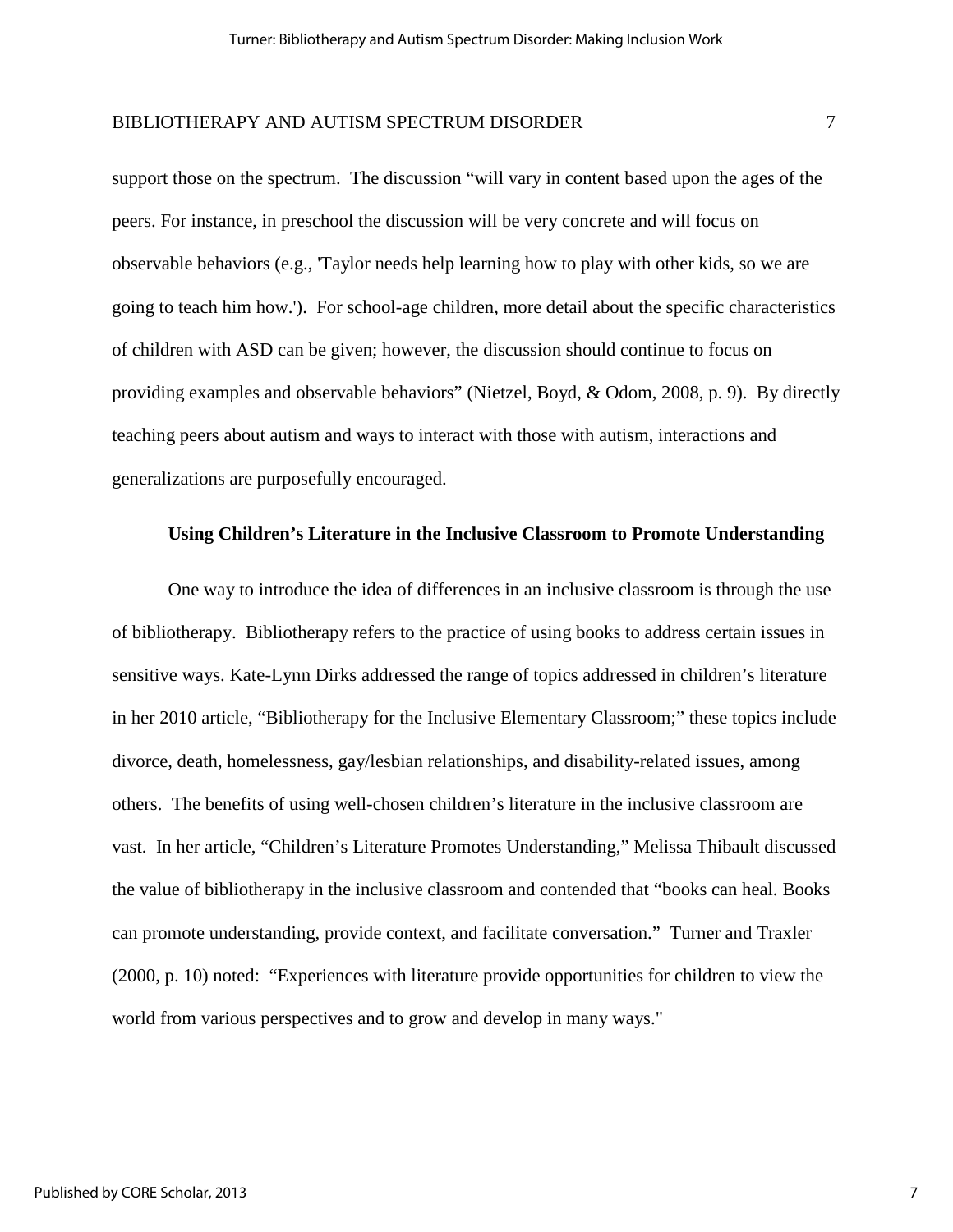support those on the spectrum. The discussion "will vary in content based upon the ages of the peers. For instance, in preschool the discussion will be very concrete and will focus on observable behaviors (e.g., 'Taylor needs help learning how to play with other kids, so we are going to teach him how.'). For school-age children, more detail about the specific characteristics of children with ASD can be given; however, the discussion should continue to focus on providing examples and observable behaviors" (Nietzel, Boyd, & Odom, 2008, p. 9). By directly teaching peers about autism and ways to interact with those with autism, interactions and generalizations are purposefully encouraged.

#### **Using Children's Literature in the Inclusive Classroom to Promote Understanding**

One way to introduce the idea of differences in an inclusive classroom is through the use of bibliotherapy. Bibliotherapy refers to the practice of using books to address certain issues in sensitive ways. Kate-Lynn Dirks addressed the range of topics addressed in children's literature in her 2010 article, "Bibliotherapy for the Inclusive Elementary Classroom;" these topics include divorce, death, homelessness, gay/lesbian relationships, and disability-related issues, among others. The benefits of using well-chosen children's literature in the inclusive classroom are vast. In her article, "Children's Literature Promotes Understanding," Melissa Thibault discussed the value of bibliotherapy in the inclusive classroom and contended that "books can heal. Books can promote understanding, provide context, and facilitate conversation." Turner and Traxler (2000, p. 10) noted: "Experiences with literature provide opportunities for children to view the world from various perspectives and to grow and develop in many ways."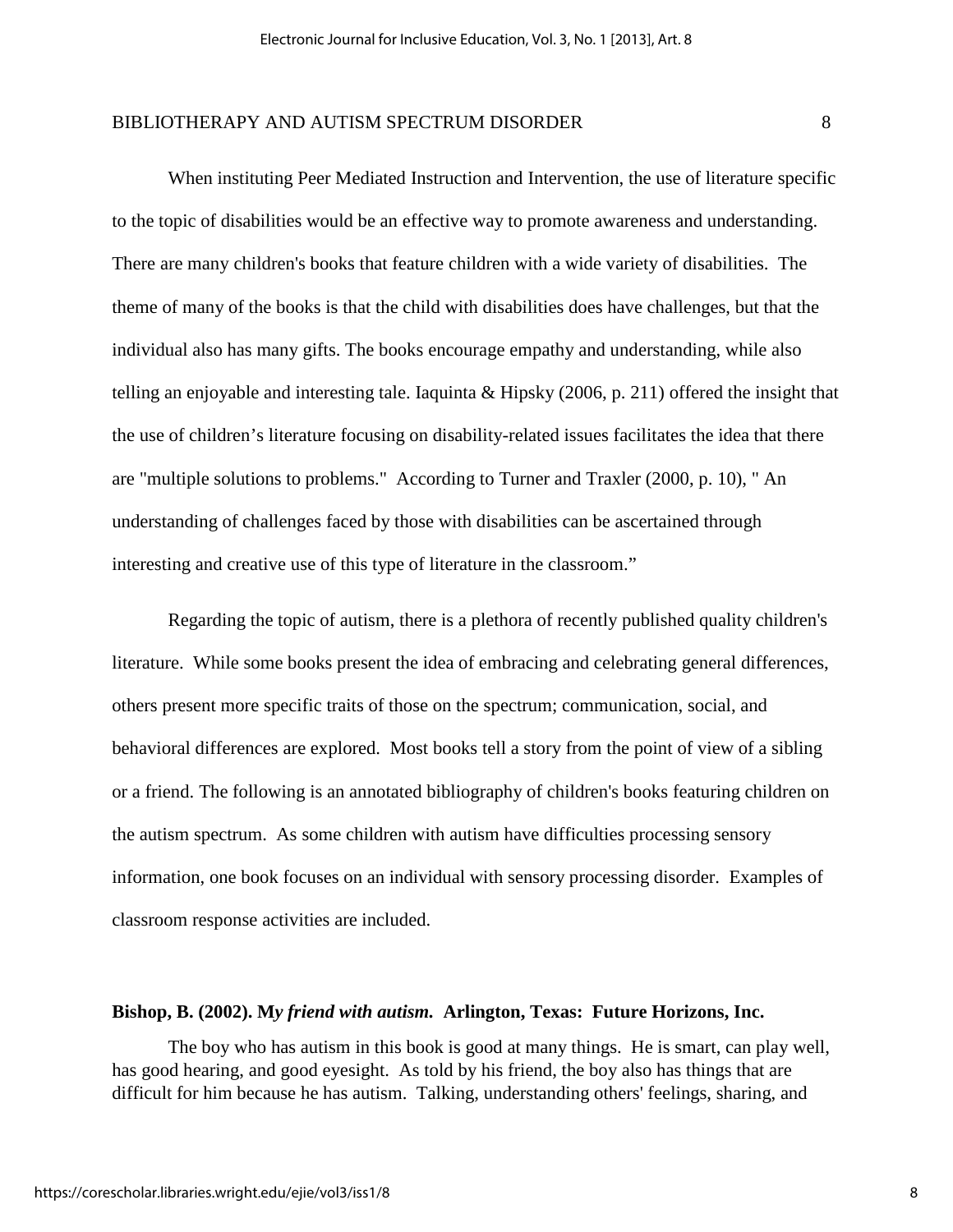When instituting Peer Mediated Instruction and Intervention, the use of literature specific to the topic of disabilities would be an effective way to promote awareness and understanding. There are many children's books that feature children with a wide variety of disabilities. The theme of many of the books is that the child with disabilities does have challenges, but that the individual also has many gifts. The books encourage empathy and understanding, while also telling an enjoyable and interesting tale. Iaquinta & Hipsky (2006, p. 211) offered the insight that the use of children's literature focusing on disability-related issues facilitates the idea that there are "multiple solutions to problems." According to Turner and Traxler (2000, p. 10), " An understanding of challenges faced by those with disabilities can be ascertained through interesting and creative use of this type of literature in the classroom."

Regarding the topic of autism, there is a plethora of recently published quality children's literature. While some books present the idea of embracing and celebrating general differences, others present more specific traits of those on the spectrum; communication, social, and behavioral differences are explored. Most books tell a story from the point of view of a sibling or a friend. The following is an annotated bibliography of children's books featuring children on the autism spectrum. As some children with autism have difficulties processing sensory information, one book focuses on an individual with sensory processing disorder. Examples of classroom response activities are included.

#### **Bishop, B. (2002). M***y friend with autism.* **Arlington, Texas: Future Horizons, Inc.**

The boy who has autism in this book is good at many things. He is smart, can play well, has good hearing, and good eyesight. As told by his friend, the boy also has things that are difficult for him because he has autism. Talking, understanding others' feelings, sharing, and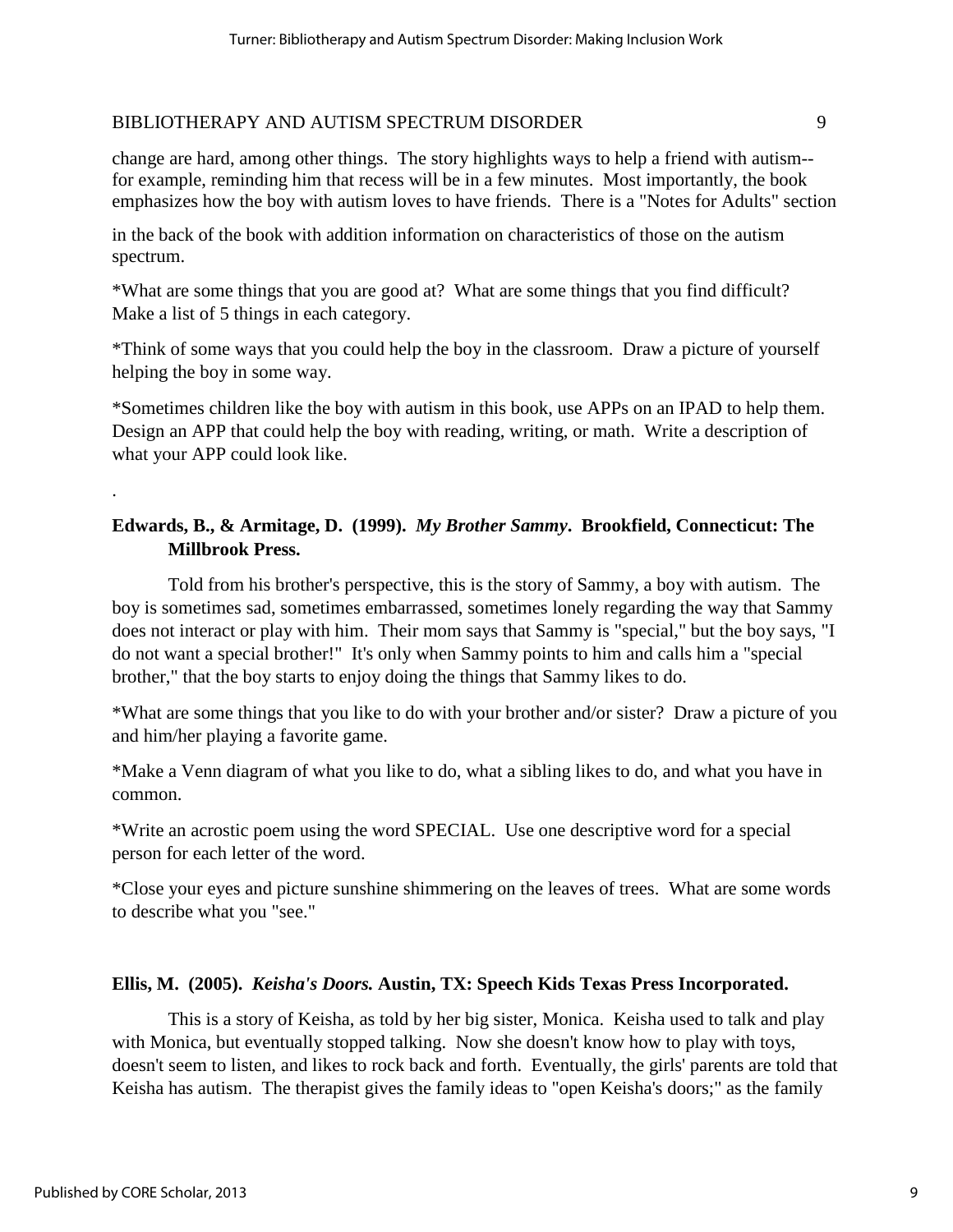change are hard, among other things. The story highlights ways to help a friend with autism- for example, reminding him that recess will be in a few minutes. Most importantly, the book emphasizes how the boy with autism loves to have friends. There is a "Notes for Adults" section

in the back of the book with addition information on characteristics of those on the autism spectrum.

\*What are some things that you are good at? What are some things that you find difficult? Make a list of 5 things in each category.

\*Think of some ways that you could help the boy in the classroom. Draw a picture of yourself helping the boy in some way.

\*Sometimes children like the boy with autism in this book, use APPs on an IPAD to help them. Design an APP that could help the boy with reading, writing, or math. Write a description of what your APP could look like.

# **Edwards, B., & Armitage, D. (1999).** *My Brother Sammy***. Brookfield, Connecticut: The Millbrook Press.**

 Told from his brother's perspective, this is the story of Sammy, a boy with autism. The boy is sometimes sad, sometimes embarrassed, sometimes lonely regarding the way that Sammy does not interact or play with him. Their mom says that Sammy is "special," but the boy says, "I do not want a special brother!" It's only when Sammy points to him and calls him a "special brother," that the boy starts to enjoy doing the things that Sammy likes to do.

\*What are some things that you like to do with your brother and/or sister? Draw a picture of you and him/her playing a favorite game.

\*Make a Venn diagram of what you like to do, what a sibling likes to do, and what you have in common.

\*Write an acrostic poem using the word SPECIAL. Use one descriptive word for a special person for each letter of the word.

\*Close your eyes and picture sunshine shimmering on the leaves of trees. What are some words to describe what you "see."

### **Ellis, M. (2005).** *Keisha's Doors.* **Austin, TX: Speech Kids Texas Press Incorporated.**

 This is a story of Keisha, as told by her big sister, Monica. Keisha used to talk and play with Monica, but eventually stopped talking. Now she doesn't know how to play with toys, doesn't seem to listen, and likes to rock back and forth. Eventually, the girls' parents are told that Keisha has autism. The therapist gives the family ideas to "open Keisha's doors;" as the family

.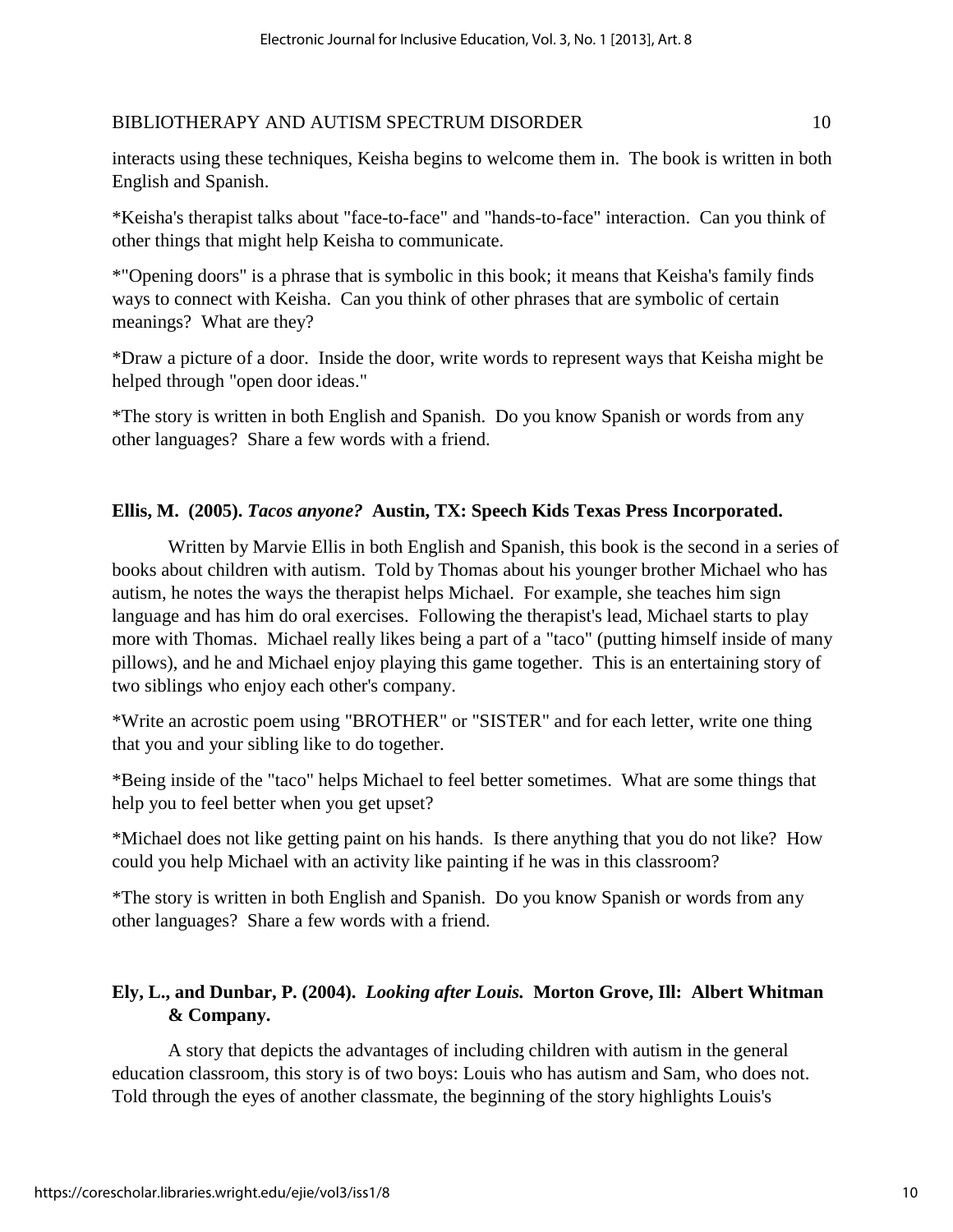\*Keisha's therapist talks about "face-to-face" and "hands-to-face" interaction. Can you think of other things that might help Keisha to communicate.

\*"Opening doors" is a phrase that is symbolic in this book; it means that Keisha's family finds ways to connect with Keisha. Can you think of other phrases that are symbolic of certain meanings? What are they?

\*Draw a picture of a door. Inside the door, write words to represent ways that Keisha might be helped through "open door ideas."

\*The story is written in both English and Spanish. Do you know Spanish or words from any other languages? Share a few words with a friend.

# **Ellis, M. (2005).** *Tacos anyone?* **Austin, TX: Speech Kids Texas Press Incorporated.**

 Written by Marvie Ellis in both English and Spanish, this book is the second in a series of books about children with autism. Told by Thomas about his younger brother Michael who has autism, he notes the ways the therapist helps Michael. For example, she teaches him sign language and has him do oral exercises. Following the therapist's lead, Michael starts to play more with Thomas. Michael really likes being a part of a "taco" (putting himself inside of many pillows), and he and Michael enjoy playing this game together. This is an entertaining story of two siblings who enjoy each other's company.

\*Write an acrostic poem using "BROTHER" or "SISTER" and for each letter, write one thing that you and your sibling like to do together.

\*Being inside of the "taco" helps Michael to feel better sometimes. What are some things that help you to feel better when you get upset?

\*Michael does not like getting paint on his hands. Is there anything that you do not like? How could you help Michael with an activity like painting if he was in this classroom?

\*The story is written in both English and Spanish. Do you know Spanish or words from any other languages? Share a few words with a friend.

# **Ely, L., and Dunbar, P. (2004).** *Looking after Louis.* **Morton Grove, Ill: Albert Whitman & Company.**

A story that depicts the advantages of including children with autism in the general education classroom, this story is of two boys: Louis who has autism and Sam, who does not. Told through the eyes of another classmate, the beginning of the story highlights Louis's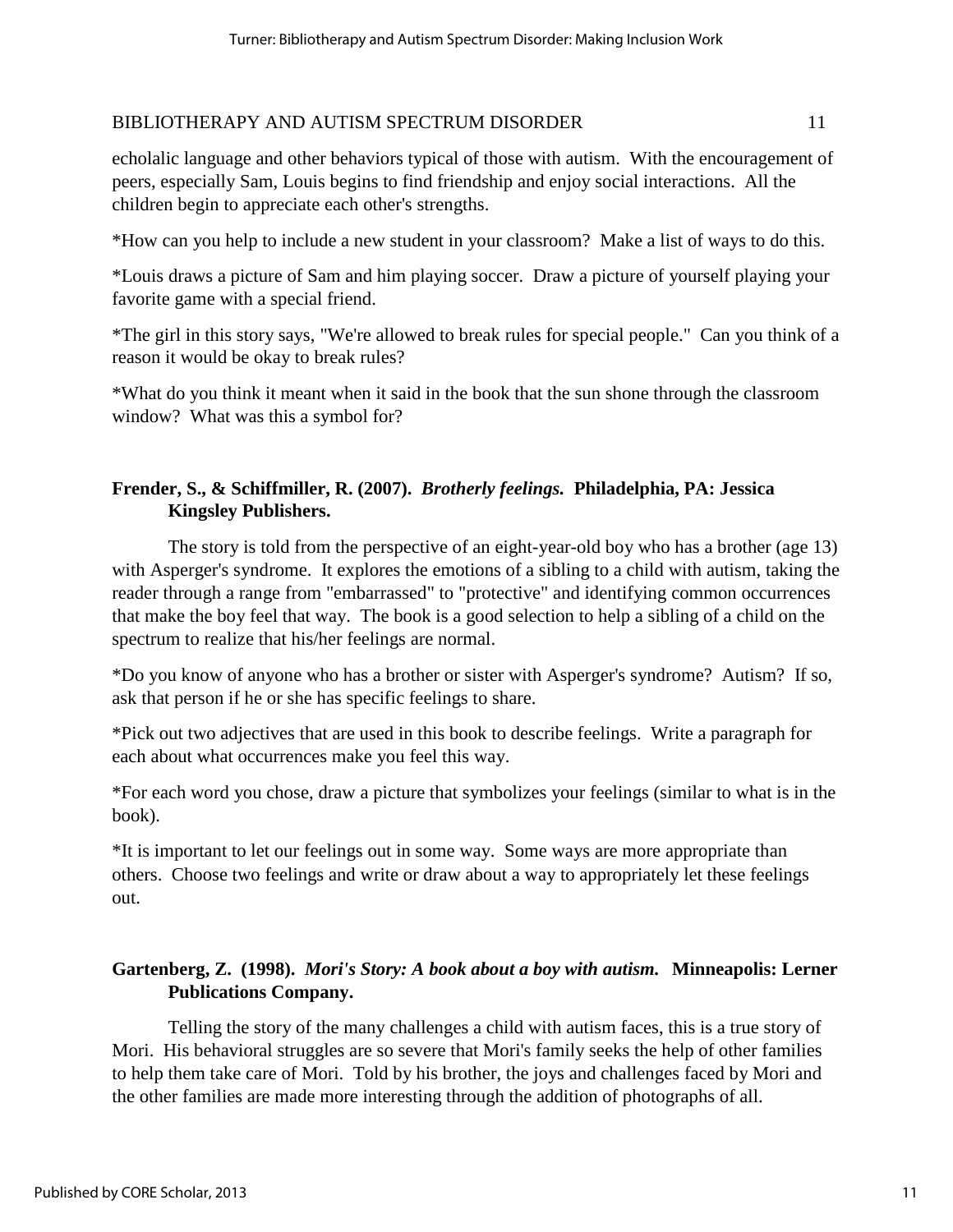echolalic language and other behaviors typical of those with autism. With the encouragement of peers, especially Sam, Louis begins to find friendship and enjoy social interactions. All the children begin to appreciate each other's strengths.

\*How can you help to include a new student in your classroom? Make a list of ways to do this.

\*Louis draws a picture of Sam and him playing soccer. Draw a picture of yourself playing your favorite game with a special friend.

\*The girl in this story says, "We're allowed to break rules for special people." Can you think of a reason it would be okay to break rules?

\*What do you think it meant when it said in the book that the sun shone through the classroom window? What was this a symbol for?

# **Frender, S., & Schiffmiller, R. (2007).** *Brotherly feelings.* **Philadelphia, PA: Jessica Kingsley Publishers.**

 The story is told from the perspective of an eight-year-old boy who has a brother (age 13) with Asperger's syndrome. It explores the emotions of a sibling to a child with autism, taking the reader through a range from "embarrassed" to "protective" and identifying common occurrences that make the boy feel that way. The book is a good selection to help a sibling of a child on the spectrum to realize that his/her feelings are normal.

\*Do you know of anyone who has a brother or sister with Asperger's syndrome? Autism? If so, ask that person if he or she has specific feelings to share.

\*Pick out two adjectives that are used in this book to describe feelings. Write a paragraph for each about what occurrences make you feel this way.

\*For each word you chose, draw a picture that symbolizes your feelings (similar to what is in the book).

\*It is important to let our feelings out in some way. Some ways are more appropriate than others. Choose two feelings and write or draw about a way to appropriately let these feelings out.

# **Gartenberg, Z. (1998).** *Mori's Story: A book about a boy with autism.* **Minneapolis: Lerner Publications Company.**

Telling the story of the many challenges a child with autism faces, this is a true story of Mori. His behavioral struggles are so severe that Mori's family seeks the help of other families to help them take care of Mori. Told by his brother, the joys and challenges faced by Mori and the other families are made more interesting through the addition of photographs of all.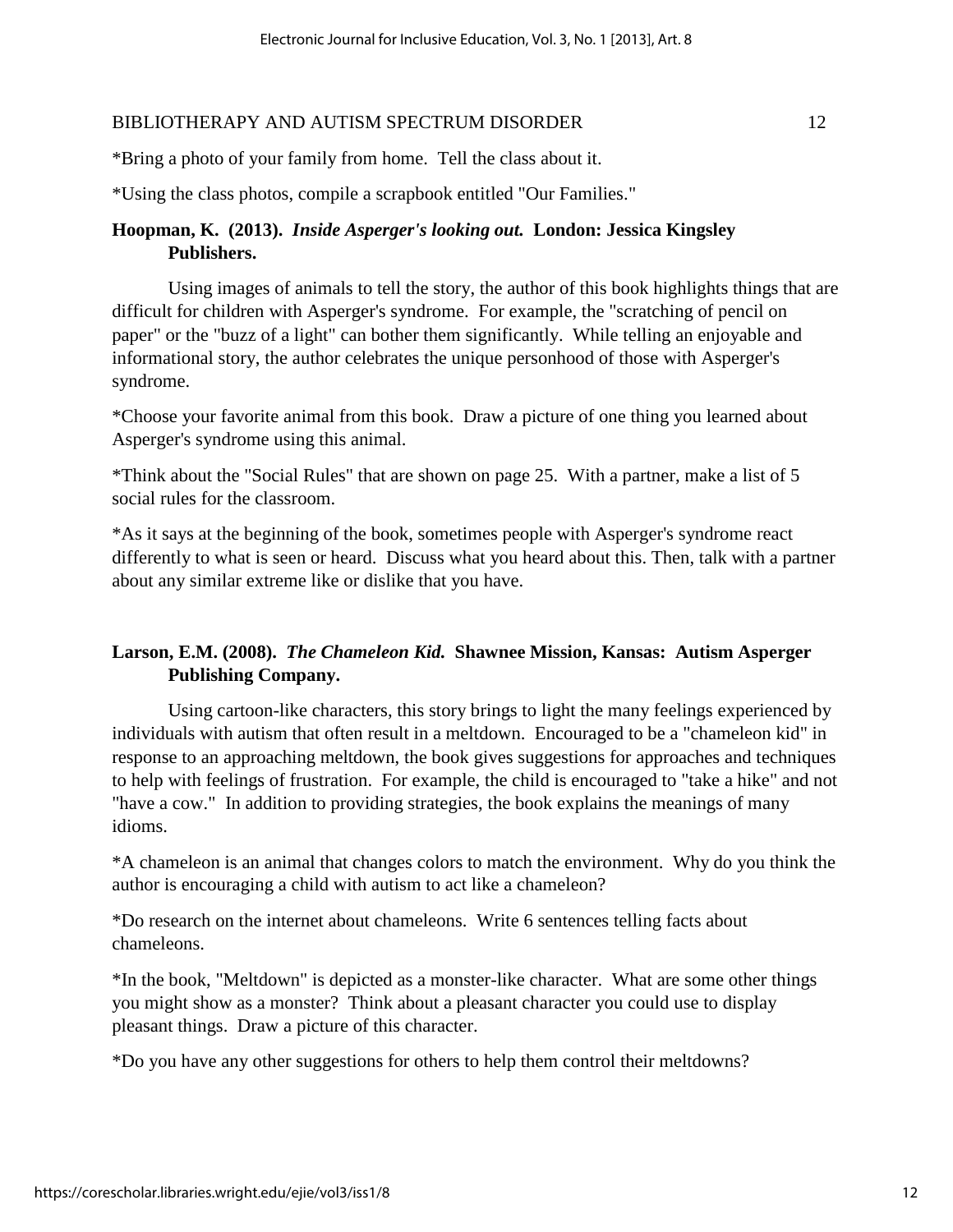\*Bring a photo of your family from home. Tell the class about it.

\*Using the class photos, compile a scrapbook entitled "Our Families."

# **Hoopman, K. (2013).** *Inside Asperger's looking out.* **London: Jessica Kingsley Publishers.**

Using images of animals to tell the story, the author of this book highlights things that are difficult for children with Asperger's syndrome. For example, the "scratching of pencil on paper" or the "buzz of a light" can bother them significantly. While telling an enjoyable and informational story, the author celebrates the unique personhood of those with Asperger's syndrome.

\*Choose your favorite animal from this book. Draw a picture of one thing you learned about Asperger's syndrome using this animal.

\*Think about the "Social Rules" that are shown on page 25. With a partner, make a list of 5 social rules for the classroom.

\*As it says at the beginning of the book, sometimes people with Asperger's syndrome react differently to what is seen or heard. Discuss what you heard about this. Then, talk with a partner about any similar extreme like or dislike that you have.

# **Larson, E.M. (2008).** *The Chameleon Kid.* **Shawnee Mission, Kansas: Autism Asperger Publishing Company.**

Using cartoon-like characters, this story brings to light the many feelings experienced by individuals with autism that often result in a meltdown. Encouraged to be a "chameleon kid" in response to an approaching meltdown, the book gives suggestions for approaches and techniques to help with feelings of frustration. For example, the child is encouraged to "take a hike" and not "have a cow." In addition to providing strategies, the book explains the meanings of many idioms.

\*A chameleon is an animal that changes colors to match the environment. Why do you think the author is encouraging a child with autism to act like a chameleon?

\*Do research on the internet about chameleons. Write 6 sentences telling facts about chameleons.

\*In the book, "Meltdown" is depicted as a monster-like character. What are some other things you might show as a monster? Think about a pleasant character you could use to display pleasant things. Draw a picture of this character.

\*Do you have any other suggestions for others to help them control their meltdowns?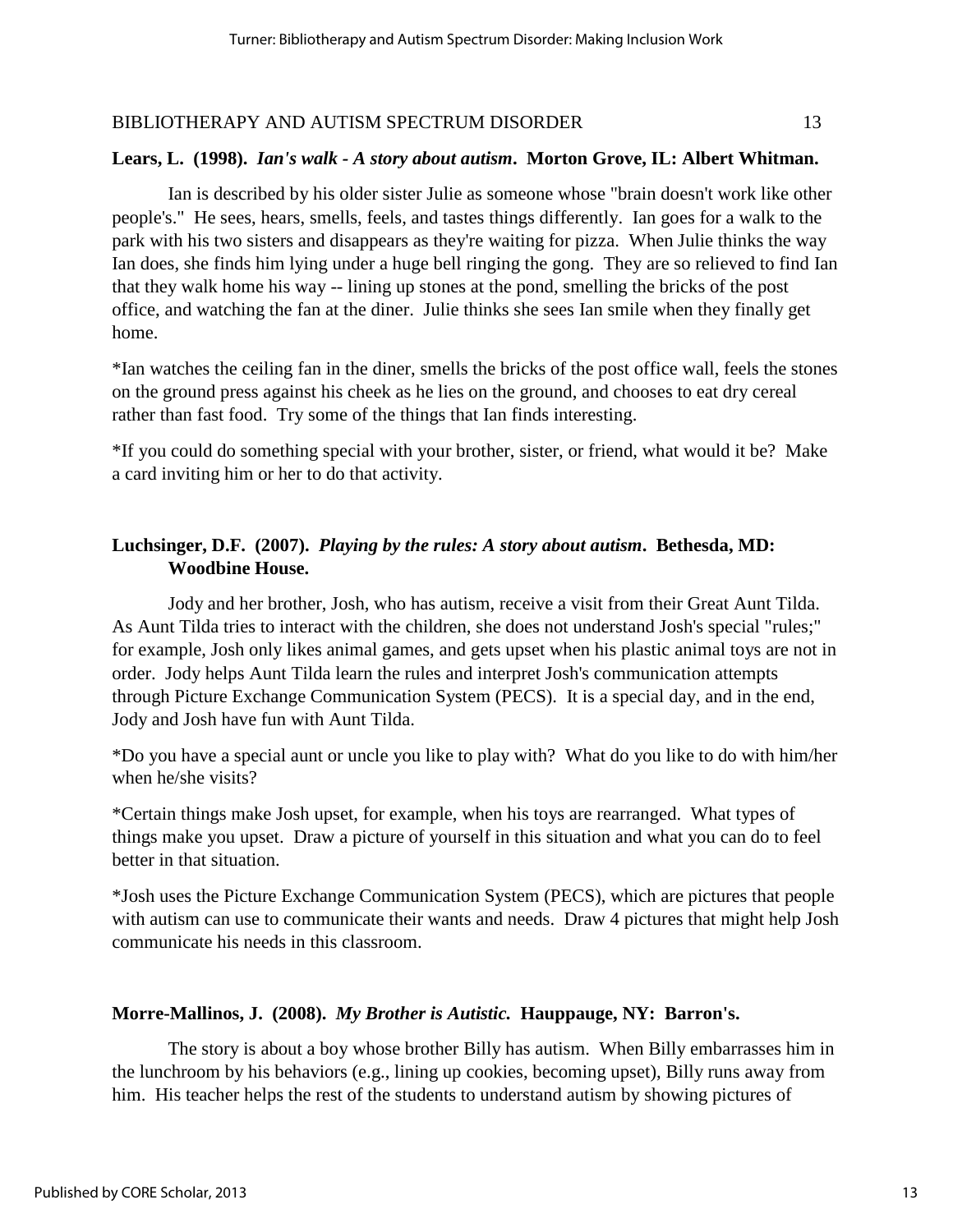#### **Lears, L. (1998).** *Ian's walk - A story about autism***. Morton Grove, IL: Albert Whitman.**

Ian is described by his older sister Julie as someone whose "brain doesn't work like other people's." He sees, hears, smells, feels, and tastes things differently. Ian goes for a walk to the park with his two sisters and disappears as they're waiting for pizza. When Julie thinks the way Ian does, she finds him lying under a huge bell ringing the gong. They are so relieved to find Ian that they walk home his way -- lining up stones at the pond, smelling the bricks of the post office, and watching the fan at the diner. Julie thinks she sees Ian smile when they finally get home.

\*Ian watches the ceiling fan in the diner, smells the bricks of the post office wall, feels the stones on the ground press against his cheek as he lies on the ground, and chooses to eat dry cereal rather than fast food. Try some of the things that Ian finds interesting.

\*If you could do something special with your brother, sister, or friend, what would it be? Make a card inviting him or her to do that activity.

## **Luchsinger, D.F. (2007).** *Playing by the rules: A story about autism***. Bethesda, MD: Woodbine House.**

 Jody and her brother, Josh, who has autism, receive a visit from their Great Aunt Tilda. As Aunt Tilda tries to interact with the children, she does not understand Josh's special "rules;" for example, Josh only likes animal games, and gets upset when his plastic animal toys are not in order. Jody helps Aunt Tilda learn the rules and interpret Josh's communication attempts through Picture Exchange Communication System (PECS). It is a special day, and in the end, Jody and Josh have fun with Aunt Tilda.

\*Do you have a special aunt or uncle you like to play with? What do you like to do with him/her when he/she visits?

\*Certain things make Josh upset, for example, when his toys are rearranged. What types of things make you upset. Draw a picture of yourself in this situation and what you can do to feel better in that situation.

\*Josh uses the Picture Exchange Communication System (PECS), which are pictures that people with autism can use to communicate their wants and needs. Draw 4 pictures that might help Josh communicate his needs in this classroom.

#### **Morre-Mallinos, J. (2008).** *My Brother is Autistic.* **Hauppauge, NY: Barron's.**

 The story is about a boy whose brother Billy has autism. When Billy embarrasses him in the lunchroom by his behaviors (e.g., lining up cookies, becoming upset), Billy runs away from him. His teacher helps the rest of the students to understand autism by showing pictures of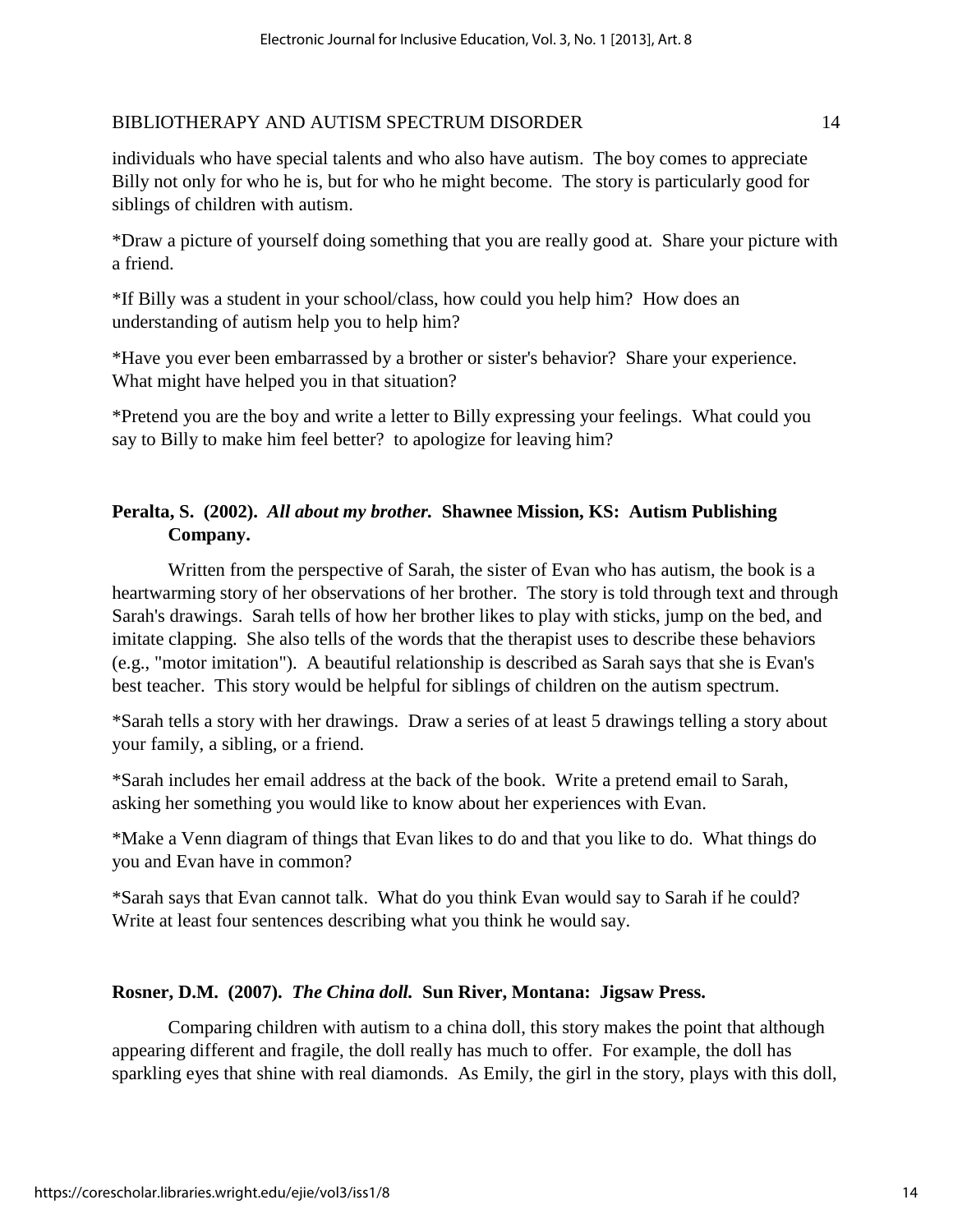individuals who have special talents and who also have autism. The boy comes to appreciate Billy not only for who he is, but for who he might become. The story is particularly good for siblings of children with autism.

\*Draw a picture of yourself doing something that you are really good at. Share your picture with a friend.

\*If Billy was a student in your school/class, how could you help him? How does an understanding of autism help you to help him?

\*Have you ever been embarrassed by a brother or sister's behavior? Share your experience. What might have helped you in that situation?

\*Pretend you are the boy and write a letter to Billy expressing your feelings. What could you say to Billy to make him feel better? to apologize for leaving him?

# **Peralta, S. (2002).** *All about my brother.* **Shawnee Mission, KS: Autism Publishing Company.**

 Written from the perspective of Sarah, the sister of Evan who has autism, the book is a heartwarming story of her observations of her brother. The story is told through text and through Sarah's drawings. Sarah tells of how her brother likes to play with sticks, jump on the bed, and imitate clapping. She also tells of the words that the therapist uses to describe these behaviors (e.g., "motor imitation"). A beautiful relationship is described as Sarah says that she is Evan's best teacher. This story would be helpful for siblings of children on the autism spectrum.

\*Sarah tells a story with her drawings. Draw a series of at least 5 drawings telling a story about your family, a sibling, or a friend.

\*Sarah includes her email address at the back of the book. Write a pretend email to Sarah, asking her something you would like to know about her experiences with Evan.

\*Make a Venn diagram of things that Evan likes to do and that you like to do. What things do you and Evan have in common?

\*Sarah says that Evan cannot talk. What do you think Evan would say to Sarah if he could? Write at least four sentences describing what you think he would say.

# **Rosner, D.M. (2007).** *The China doll.* **Sun River, Montana: Jigsaw Press.**

 Comparing children with autism to a china doll, this story makes the point that although appearing different and fragile, the doll really has much to offer. For example, the doll has sparkling eyes that shine with real diamonds. As Emily, the girl in the story, plays with this doll,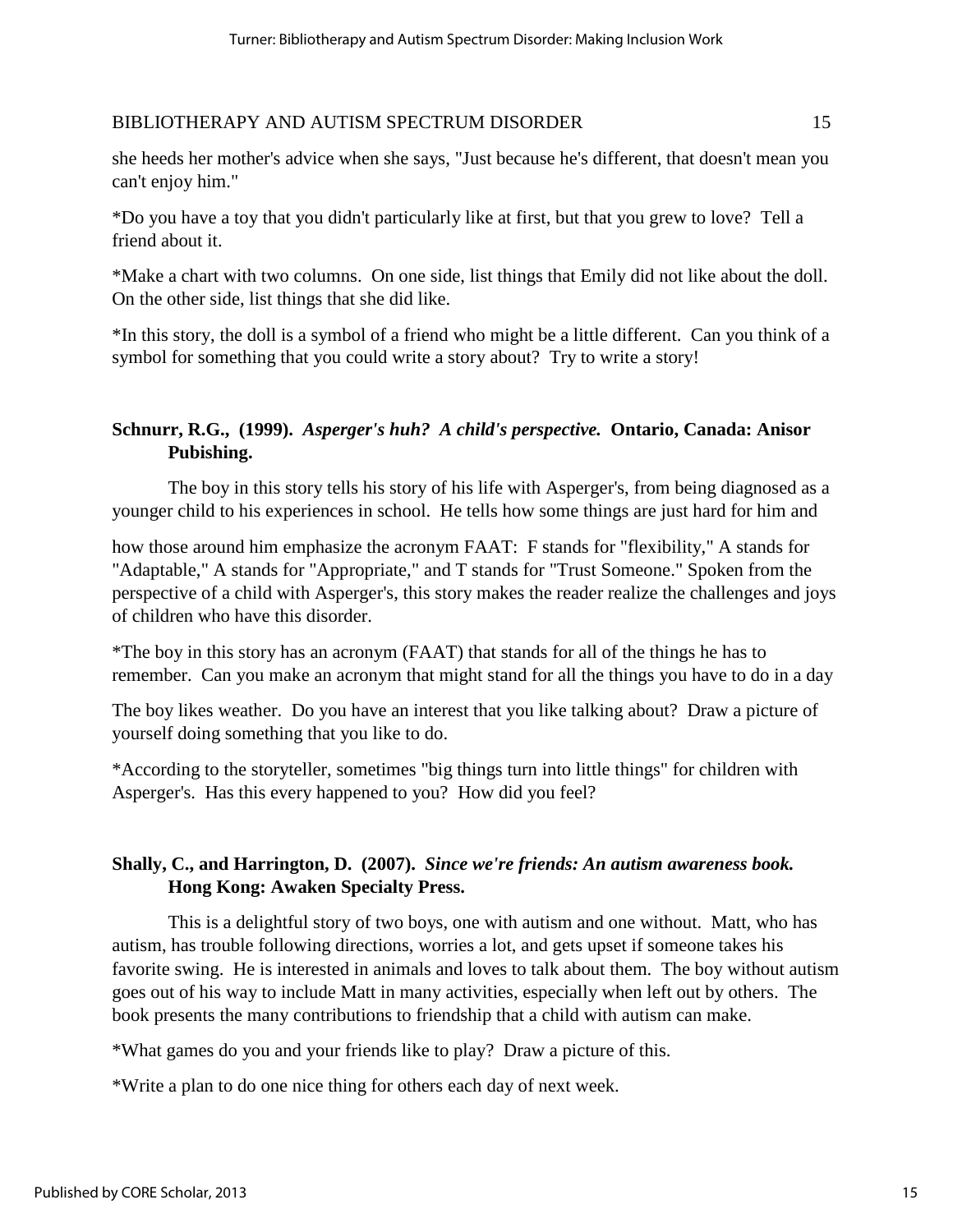she heeds her mother's advice when she says, "Just because he's different, that doesn't mean you can't enjoy him."

\*Do you have a toy that you didn't particularly like at first, but that you grew to love? Tell a friend about it.

\*Make a chart with two columns. On one side, list things that Emily did not like about the doll. On the other side, list things that she did like.

\*In this story, the doll is a symbol of a friend who might be a little different. Can you think of a symbol for something that you could write a story about? Try to write a story!

# **Schnurr, R.G., (1999).** *Asperger's huh? A child's perspective.* **Ontario, Canada: Anisor Pubishing.**

The boy in this story tells his story of his life with Asperger's, from being diagnosed as a younger child to his experiences in school. He tells how some things are just hard for him and

how those around him emphasize the acronym FAAT: F stands for "flexibility," A stands for "Adaptable," A stands for "Appropriate," and T stands for "Trust Someone." Spoken from the perspective of a child with Asperger's, this story makes the reader realize the challenges and joys of children who have this disorder.

\*The boy in this story has an acronym (FAAT) that stands for all of the things he has to remember. Can you make an acronym that might stand for all the things you have to do in a day

The boy likes weather. Do you have an interest that you like talking about? Draw a picture of yourself doing something that you like to do.

\*According to the storyteller, sometimes "big things turn into little things" for children with Asperger's. Has this every happened to you? How did you feel?

# **Shally, C., and Harrington, D. (2007).** *Since we're friends: An autism awareness book.*  **Hong Kong: Awaken Specialty Press.**

This is a delightful story of two boys, one with autism and one without. Matt, who has autism, has trouble following directions, worries a lot, and gets upset if someone takes his favorite swing. He is interested in animals and loves to talk about them. The boy without autism goes out of his way to include Matt in many activities, especially when left out by others. The book presents the many contributions to friendship that a child with autism can make.

\*What games do you and your friends like to play? Draw a picture of this.

\*Write a plan to do one nice thing for others each day of next week.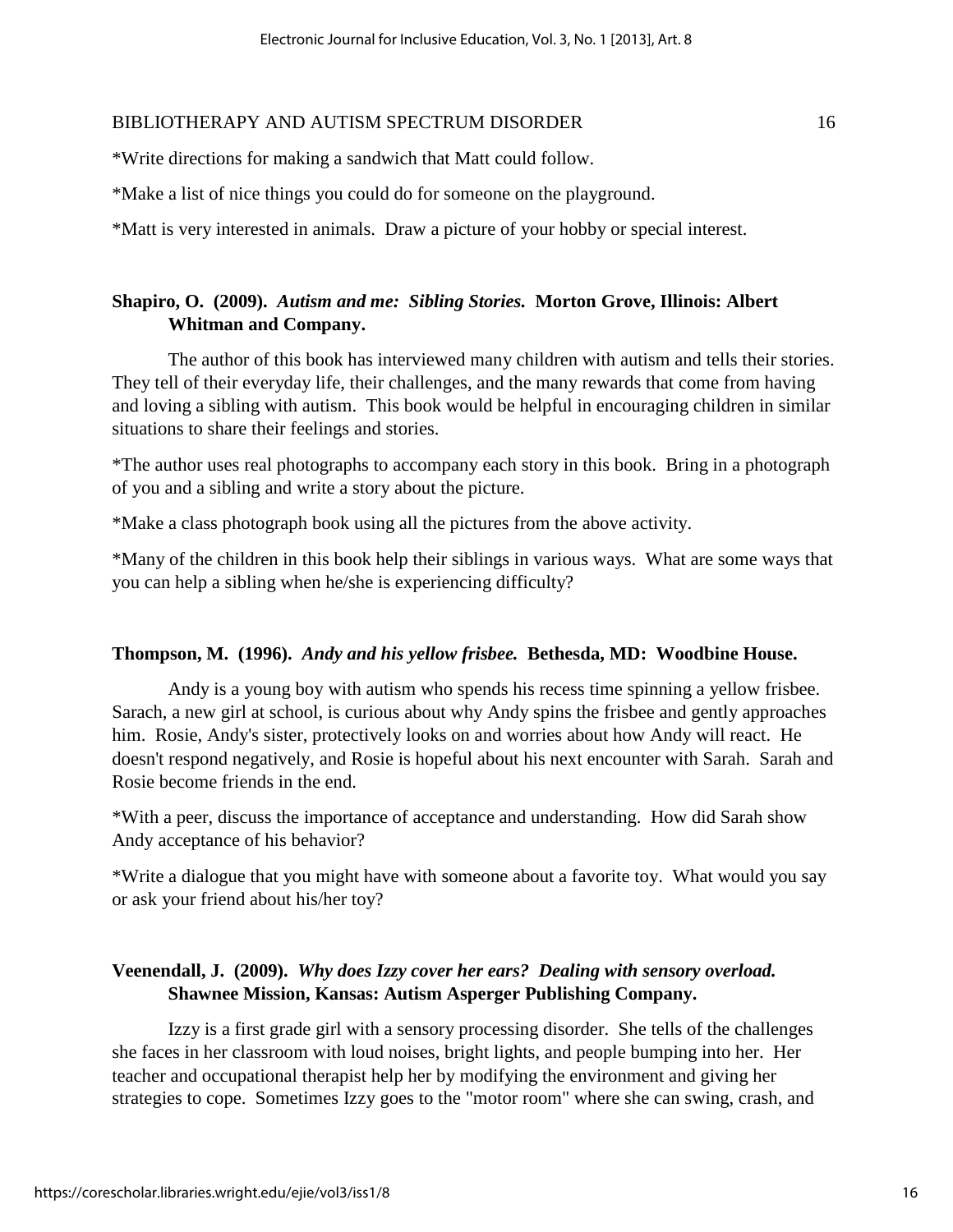\*Write directions for making a sandwich that Matt could follow.

\*Make a list of nice things you could do for someone on the playground.

\*Matt is very interested in animals. Draw a picture of your hobby or special interest.

## **Shapiro, O. (2009).** *Autism and me: Sibling Stories.* **Morton Grove, Illinois: Albert Whitman and Company.**

The author of this book has interviewed many children with autism and tells their stories. They tell of their everyday life, their challenges, and the many rewards that come from having and loving a sibling with autism. This book would be helpful in encouraging children in similar situations to share their feelings and stories.

\*The author uses real photographs to accompany each story in this book. Bring in a photograph of you and a sibling and write a story about the picture.

\*Make a class photograph book using all the pictures from the above activity.

\*Many of the children in this book help their siblings in various ways. What are some ways that you can help a sibling when he/she is experiencing difficulty?

#### **Thompson, M. (1996).** *Andy and his yellow frisbee.* **Bethesda, MD: Woodbine House.**

Andy is a young boy with autism who spends his recess time spinning a yellow frisbee. Sarach, a new girl at school, is curious about why Andy spins the frisbee and gently approaches him. Rosie, Andy's sister, protectively looks on and worries about how Andy will react. He doesn't respond negatively, and Rosie is hopeful about his next encounter with Sarah. Sarah and Rosie become friends in the end.

\*With a peer, discuss the importance of acceptance and understanding. How did Sarah show Andy acceptance of his behavior?

\*Write a dialogue that you might have with someone about a favorite toy. What would you say or ask your friend about his/her toy?

# **Veenendall, J. (2009).** *Why does Izzy cover her ears? Dealing with sensory overload.*  **Shawnee Mission, Kansas: Autism Asperger Publishing Company.**

 Izzy is a first grade girl with a sensory processing disorder. She tells of the challenges she faces in her classroom with loud noises, bright lights, and people bumping into her. Her teacher and occupational therapist help her by modifying the environment and giving her strategies to cope. Sometimes Izzy goes to the "motor room" where she can swing, crash, and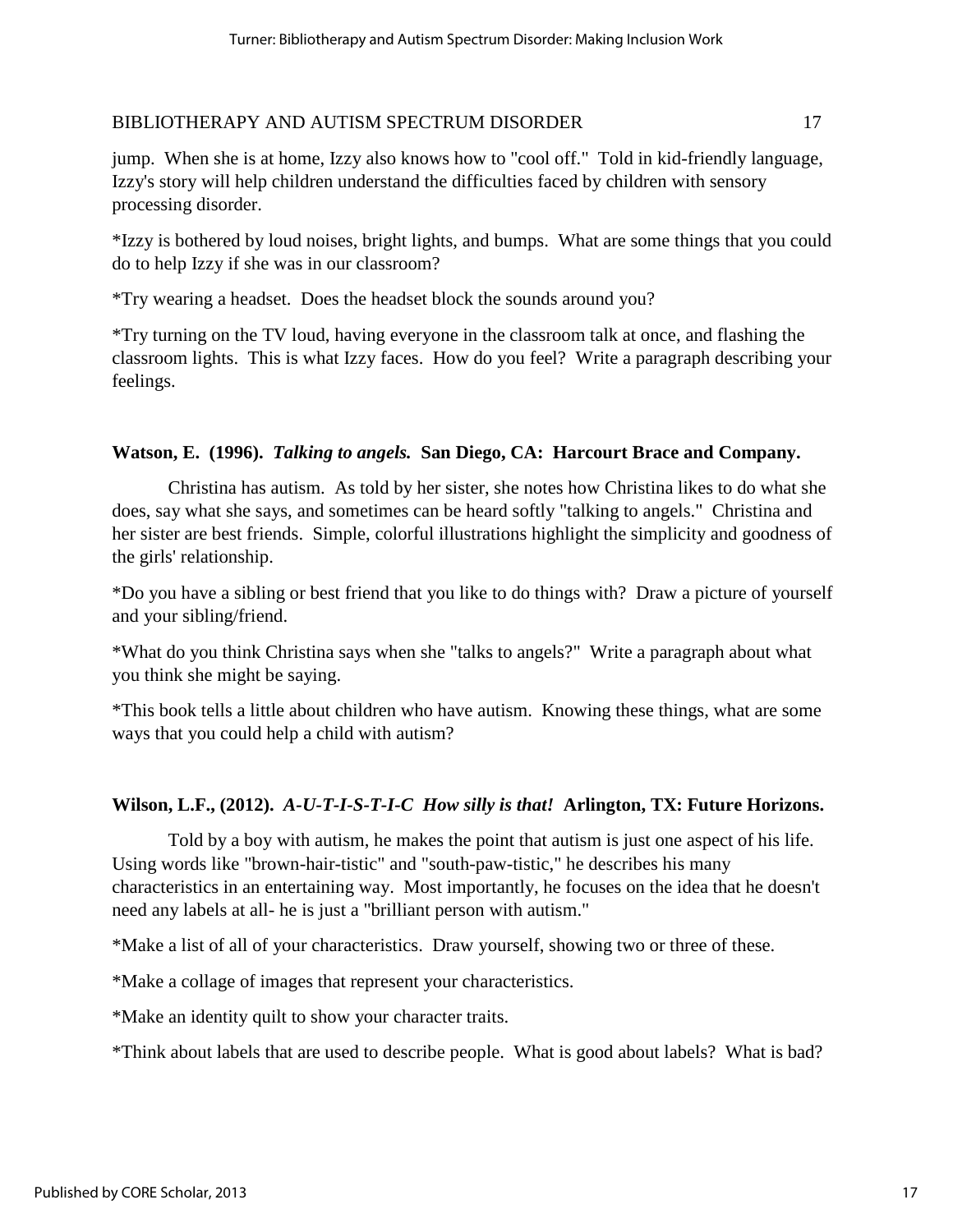jump. When she is at home, Izzy also knows how to "cool off." Told in kid-friendly language, Izzy's story will help children understand the difficulties faced by children with sensory processing disorder.

\*Izzy is bothered by loud noises, bright lights, and bumps. What are some things that you could do to help Izzy if she was in our classroom?

\*Try wearing a headset. Does the headset block the sounds around you?

\*Try turning on the TV loud, having everyone in the classroom talk at once, and flashing the classroom lights. This is what Izzy faces. How do you feel? Write a paragraph describing your feelings.

# **Watson, E. (1996).** *Talking to angels.* **San Diego, CA: Harcourt Brace and Company.**

 Christina has autism. As told by her sister, she notes how Christina likes to do what she does, say what she says, and sometimes can be heard softly "talking to angels." Christina and her sister are best friends. Simple, colorful illustrations highlight the simplicity and goodness of the girls' relationship.

\*Do you have a sibling or best friend that you like to do things with? Draw a picture of yourself and your sibling/friend.

\*What do you think Christina says when she "talks to angels?" Write a paragraph about what you think she might be saying.

\*This book tells a little about children who have autism. Knowing these things, what are some ways that you could help a child with autism?

# **Wilson, L.F., (2012).** *A-U-T-I-S-T-I-C How silly is that!* **Arlington, TX: Future Horizons.**

Told by a boy with autism, he makes the point that autism is just one aspect of his life. Using words like "brown-hair-tistic" and "south-paw-tistic," he describes his many characteristics in an entertaining way. Most importantly, he focuses on the idea that he doesn't need any labels at all- he is just a "brilliant person with autism."

\*Make a list of all of your characteristics. Draw yourself, showing two or three of these.

\*Make a collage of images that represent your characteristics.

\*Make an identity quilt to show your character traits.

\*Think about labels that are used to describe people. What is good about labels? What is bad?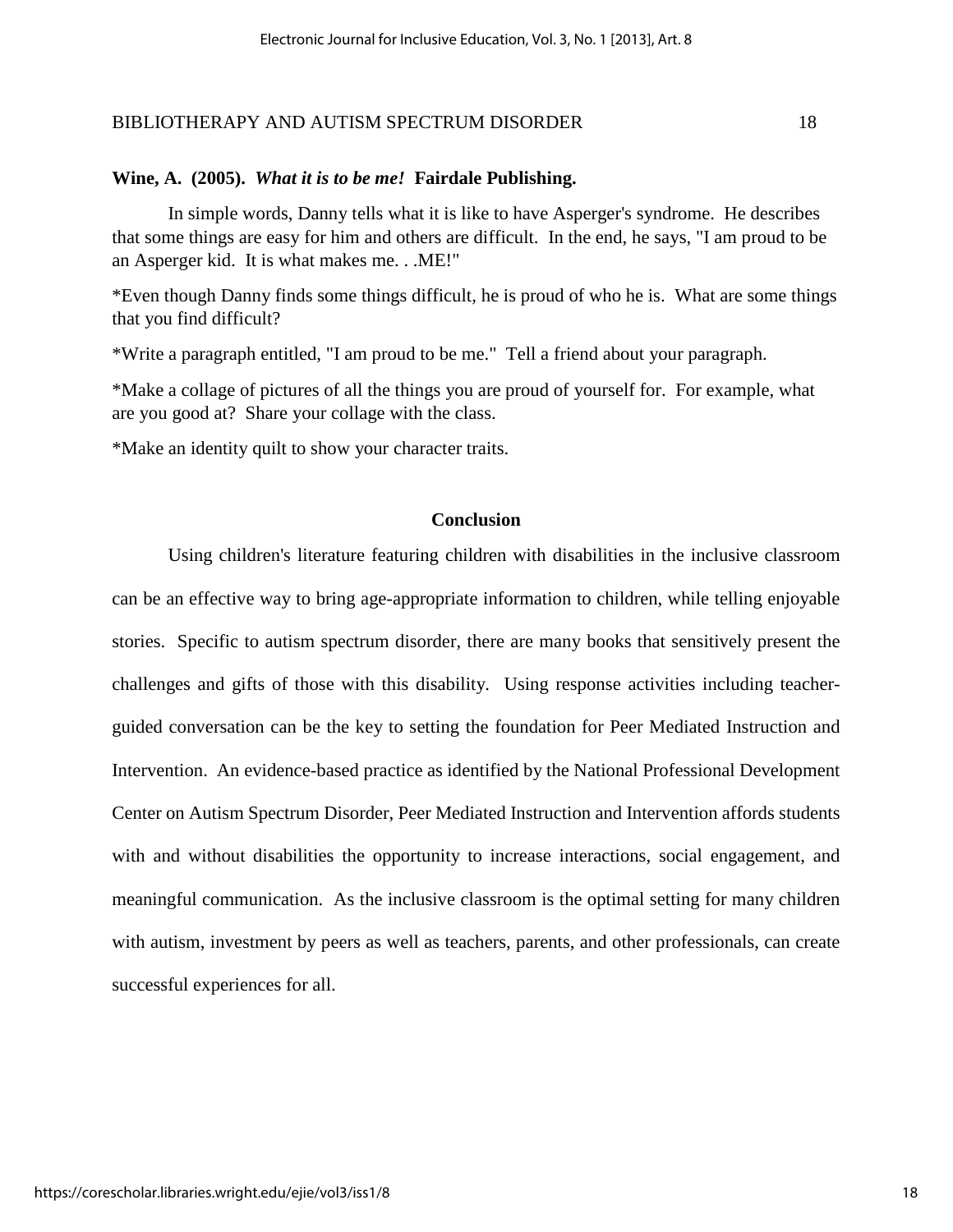#### **Wine, A. (2005).** *What it is to be me!* **Fairdale Publishing.**

In simple words, Danny tells what it is like to have Asperger's syndrome. He describes that some things are easy for him and others are difficult. In the end, he says, "I am proud to be an Asperger kid. It is what makes me. . .ME!"

\*Even though Danny finds some things difficult, he is proud of who he is. What are some things that you find difficult?

\*Write a paragraph entitled, "I am proud to be me." Tell a friend about your paragraph.

\*Make a collage of pictures of all the things you are proud of yourself for. For example, what are you good at? Share your collage with the class.

\*Make an identity quilt to show your character traits.

#### **Conclusion**

Using children's literature featuring children with disabilities in the inclusive classroom can be an effective way to bring age-appropriate information to children, while telling enjoyable stories. Specific to autism spectrum disorder, there are many books that sensitively present the challenges and gifts of those with this disability. Using response activities including teacherguided conversation can be the key to setting the foundation for Peer Mediated Instruction and Intervention. An evidence-based practice as identified by the National Professional Development Center on Autism Spectrum Disorder, Peer Mediated Instruction and Intervention affords students with and without disabilities the opportunity to increase interactions, social engagement, and meaningful communication. As the inclusive classroom is the optimal setting for many children with autism, investment by peers as well as teachers, parents, and other professionals, can create successful experiences for all.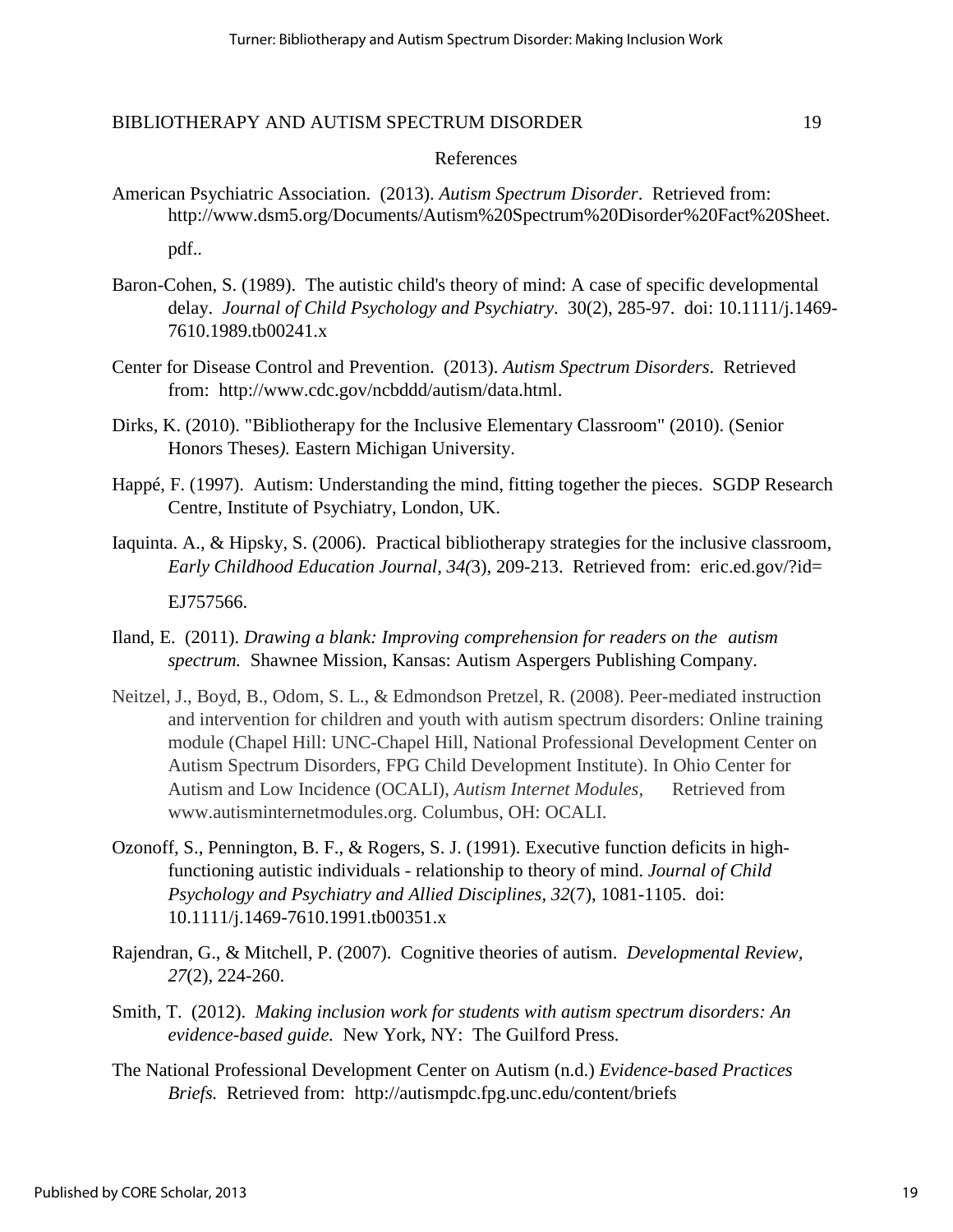#### References

- American Psychiatric Association. (2013). *Autism Spectrum Disorder*. Retrieved from: http://www.dsm5.org/Documents/Autism%20Spectrum%20Disorder%20Fact%20Sheet. pdf..
- Baron-Cohen, S. (1989). The autistic child's theory of mind: A case of specific developmental delay. *Journal of Child Psychology and Psychiatry*. 30(2), 285-97. doi: 10.1111/j.1469- 7610.1989.tb00241.x
- Center for Disease Control and Prevention. (2013). *Autism Spectrum Disorders*. Retrieved from: http://www.cdc.gov/ncbddd/autism/data.html.
- Dirks, K. (2010). "Bibliotherapy for the Inclusive Elementary Classroom" (2010). (Senior Honors Theses*).* Eastern Michigan University.
- Happé, F. (1997). Autism: Understanding the mind, fitting together the pieces. SGDP Research Centre, Institute of Psychiatry, London, UK.
- Iaquinta. A., & Hipsky, S. (2006). Practical bibliotherapy strategies for the inclusive classroom, *Early Childhood Education Journal*, *34(*3), 209-213. Retrieved from: eric.ed.gov/?id= EJ757566.
- Iland, E. (2011). *Drawing a blank: Improving comprehension for readers on the autism spectrum.* Shawnee Mission, Kansas: Autism Aspergers Publishing Company.
- Neitzel, J., Boyd, B., Odom, S. L., & Edmondson Pretzel, R. (2008). Peer-mediated instruction and intervention for children and youth with autism spectrum disorders: Online training module (Chapel Hill: UNC-Chapel Hill, National Professional Development Center on Autism Spectrum Disorders, FPG Child Development Institute). In Ohio Center for Autism and Low Incidence (OCALI), *Autism Internet Modules*, Retrieved from www.autisminternetmodules.org. Columbus, OH: OCALI.
- Ozonoff, S., Pennington, B. F., & Rogers, S. J. (1991). Executive function deficits in highfunctioning autistic individuals - relationship to theory of mind. *Journal of Child Psychology and Psychiatry and Allied Disciplines, 32*(7), 1081-1105. doi: 10.1111/j.1469-7610.1991.tb00351.x
- Rajendran, G., & Mitchell, P. (2007). Cognitive theories of autism. *Developmental Review, 27*(2)*,* 224-260.
- Smith, T. (2012). *Making inclusion work for students with autism spectrum disorders: An evidence-based guide.* New York, NY: The Guilford Press.
- The National Professional Development Center on Autism (n.d.) *Evidence-based Practices Briefs.* Retrieved from: http://autismpdc.fpg.unc.edu/content/briefs